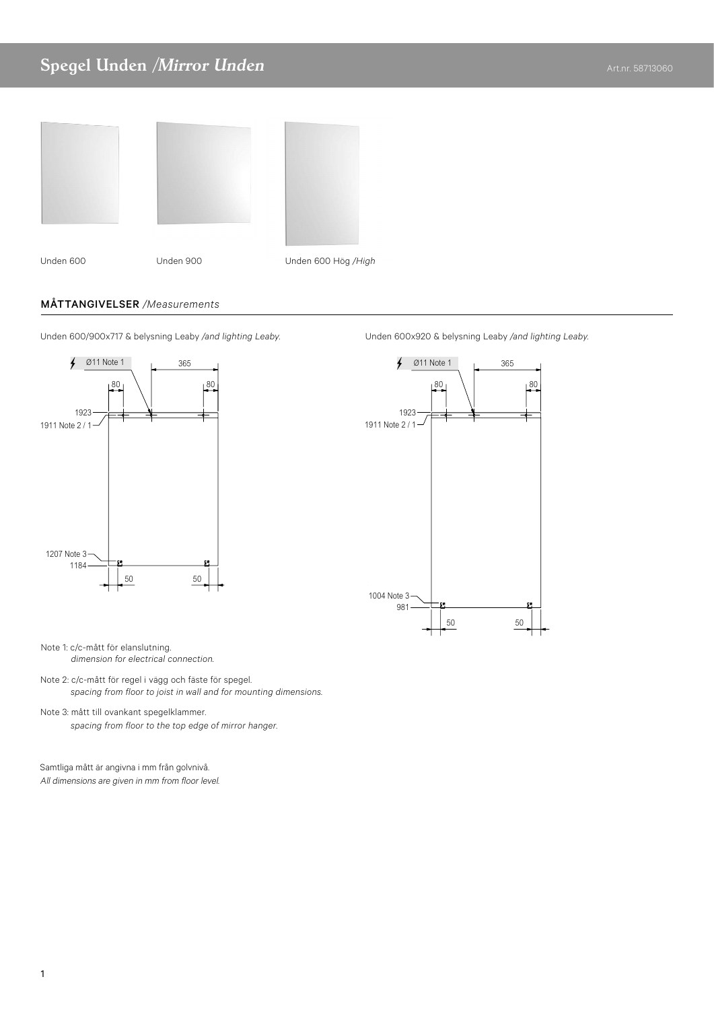## Spegel Unden /Mirror Unden Art.nr. 58713060





Halvhögt skåp 400 spegel Spegelskåp Basic Spegel Grann Spegel Grann Spegel Grann Spegel Grann Spegel Unden & belysning Leaby Spegel Unden & belysning Leaby Spegel Roxen

Halvhögt skåp 400 spegel Spegelskåp Basic Spegel Grann Spegel Grann Spegel Grann Spegel Grann Spegel Unden & belysning Leaby Spegel Unden & belysning Leaby Spegel Roxen

Unden 600 Unden 900 Unden 600 Hög */High*

## MÅTTANGIVELSER */Measurements*



Unden 600/900x717 & belysning Leaby */and lighting Leaby.* Unden 600x920 & belysning Leaby */and lighting Leaby.*



Note 1: c/c-mått för elanslutning. *dimension for electrical connection.* 

- Note 2: c/c-mått för regel i vägg och fäste för spegel. *spacing from floor to joist in wall and for mounting dimensions.*
- Note 3: mått till ovankant spegelklammer. *spacing from floor to the top edge of mirror hanger.*

Samtliga mått är angivna i mm från golvnivå. All dimensions are given in mm from floor level.